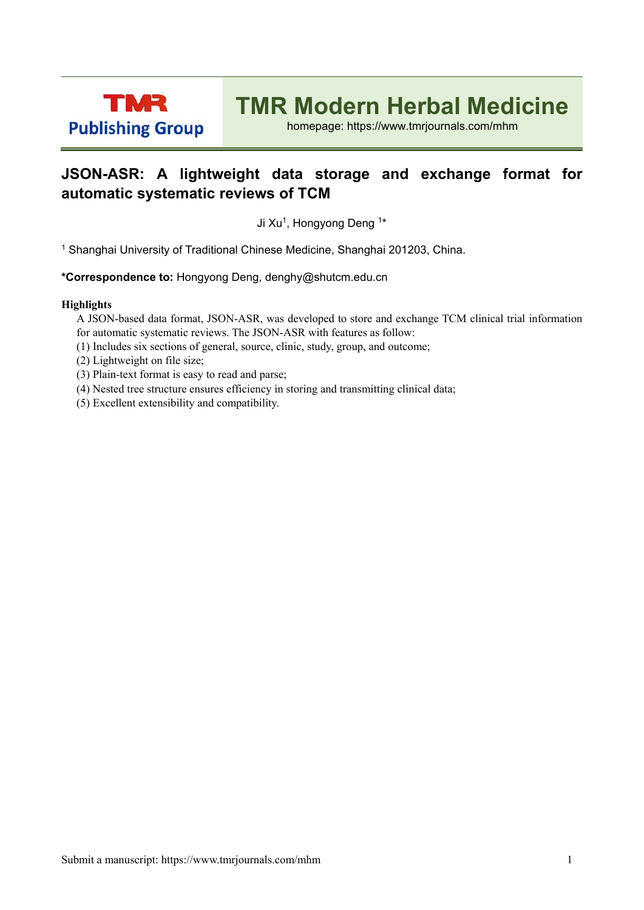

# **TMR Modern Herbal Medicine**

homepage: https://www.tmrjournals.com/mhm

### **JSON-ASR: A lightweight data storage and exchange format for automatic systematic reviews of TCM**

Ji Xu<sup>1</sup>, Hongyong Deng <sup>1\*</sup>

1 Shanghai University of Traditional Chinese Medicine, Shanghai 201203, China.

**\*Correspondence to:** Hongyong Deng, denghy@shutcm.edu.cn

### **Highlights**

A JSON-based data format, JSON-ASR, was developed to store and exchange TCM clinical trial information for automatic systematic reviews. The JSON-ASR with features as follow:

(1) Includes six sections of general, source, clinic, study, group, and outcome;

(2) Lightweight on file size;

- (3) Plain-text format is easy to read and parse;
- (4) Nested tree structure ensures efficiency in storing and transmitting clinical data;
- (5) Excellent extensibility and compatibility.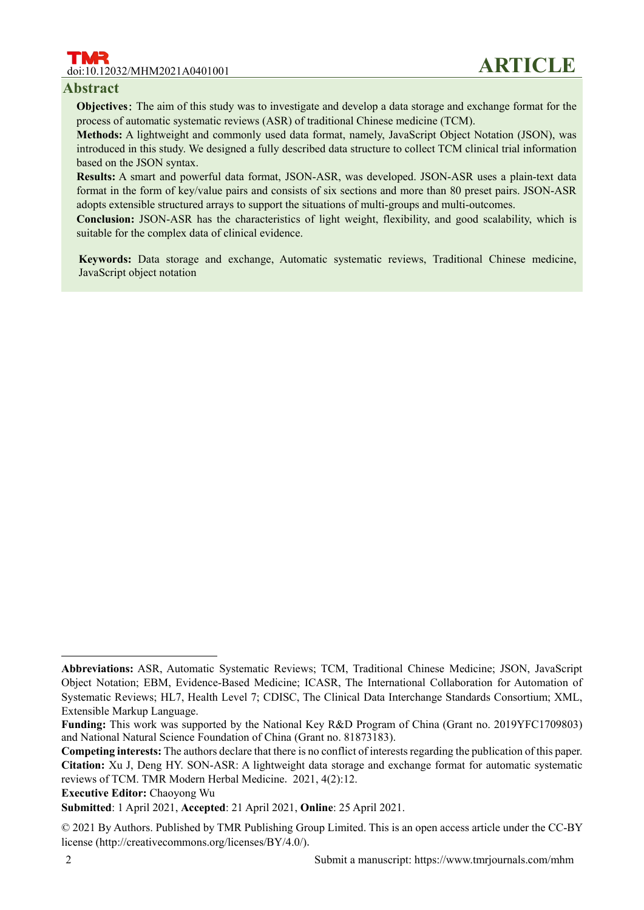# doi:10.12032/MHM2021A0401001 **ARTICLE**

### **Abstract**

**Objectives**: The aim of this study was to investigate and develop a data storage and exchange format for the process of automatic systematic reviews (ASR) of traditional Chinese medicine (TCM).

**Methods:** A lightweight and commonly used data format, namely, JavaScript Object Notation (JSON), was introduced in this study. We designed a fully described data structure to collect TCM clinical trial information based on the JSON syntax.

**Results:** A smart and powerful data format, JSON-ASR, was developed. JSON-ASR uses a plain-text data format in the form of key/value pairs and consists of six sections and more than 80 preset pairs. JSON-ASR adopts extensible structured arrays to support the situations of multi-groups and multi-outcomes.

**Conclusion:** JSON-ASR has the characteristics of light weight, flexibility, and good scalability, which is suitable for the complex data of clinical evidence.

**Keywords:** Data storage and exchange, Automatic systematic reviews, Traditional Chinese medicine, JavaScript object notation

**Executive Editor:** Chaoyong Wu

 $\overline{a}$ 

**Abbreviations:** ASR, Automatic Systematic Reviews; TCM, Traditional Chinese Medicine; JSON, JavaScript Object Notation; EBM, Evidence-Based Medicine; ICASR, The International Collaboration for Automation of Systematic Reviews; HL7, Health Level 7; CDISC, The Clinical Data Interchange Standards Consortium; XML, Extensible Markup Language.

**Funding:** This work was supported by the National Key R&D Program of China (Grant no. 2019YFC1709803) and National Natural Science Foundation of China (Grant no. 81873183).

**Competing interests:** The authors declare that there is no conflict of interests regarding the publication of this paper. **Citation:** Xu J, Deng HY. SON-ASR: A lightweight data storage and exchange format for automatic systematic reviews of TCM. TMR Modern Herbal Medicine. 2021, 4(2):12.

**Submitted**: 1 April 2021, **Accepted**: 21 April 2021, **Online**: 25 April 2021.

<sup>© 2021</sup> By Authors. Published by TMR Publishing Group Limited. This is an open access article under the CC-BY license (http://creativecommons.org/licenses/BY/4.0/).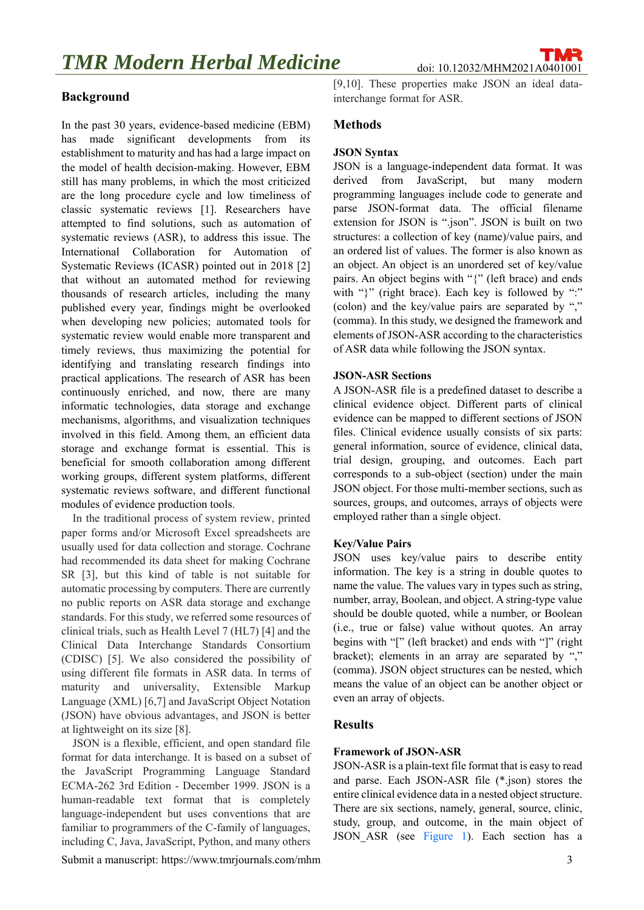### **Background**

In the past 30 years, evidence-based medicine (EBM) has made significant developments from its establishment to maturity and has had a large impact on the model of health decision-making. However, EBM still has many problems, in which the most criticized are the long procedure cycle and low timeliness of classic systematic reviews [1]. Researchers have attempted to find solutions, such as automation of systematic reviews (ASR), to address this issue. The International Collaboration for Automation of Systematic Reviews (ICASR) pointed out in 2018 [2] that without an automated method for reviewing thousands of research articles, including the many published every year, findings might be overlooked when developing new policies; automated tools for systematic review would enable more transparent and timely reviews, thus maximizing the potential for identifying and translating research findings into practical applications. The research of ASR has been continuously enriched, and now, there are many informatic technologies, data storage and exchange mechanisms, algorithms, and visualization techniques involved in this field. Among them, an efficient data storage and exchange format is essential. This is beneficial for smooth collaboration among different working groups, different system platforms, different systematic reviews software, and different functional modules of evidence production tools.

In the traditional process of system review, printed paper forms and/or Microsoft Excel spreadsheets are usually used for data collection and storage. Cochrane had recommended its data sheet for making Cochrane SR [3], but this kind of table is not suitable for automatic processing by computers. There are currently no public reports on ASR data storage and exchange standards. For this study, we referred some resources of clinical trials, such as Health Level 7 (HL7) [4] and the Clinical Data Interchange Standards Consortium (CDISC) [5]. We also considered the possibility of using different file formats in ASR data. In terms of maturity and universality, Extensible Markup Language (XML) [6,7] and JavaScript Object Notation (JSON) have obvious advantages, and JSON is better at lightweight on its size [8].

JSON is a flexible, efficient, and open standard file format for data interchange. It is based on a subset of the JavaScript Programming Language Standard ECMA-262 3rd Edition - December 1999. JSON is a human-readable text format that is completely language-independent but uses conventions that are familiar to programmers of the C-family of languages, including C, Java, JavaScript, Python, and many others

Submit a manuscript: https://www.tmrjournals.com/mhm 3

[9,10]. These properties make JSON an ideal datainterchange format for ASR.

### **Methods**

### **JSON Syntax**

JSON is a language-independent data format. It was derived from JavaScript, but many modern programming languages include code to generate and parse JSON-format data. The official filename extension for JSON is ".json". JSON is built on two structures: a collection of key (name)/value pairs, and an ordered list of values. The former is also known as an object. An object is an unordered set of key/value pairs. An object begins with "{" (left brace) and ends with "}" (right brace). Each key is followed by ":" (colon) and the key/value pairs are separated by "," (comma). In this study, we designed the framework and elements of JSON-ASR according to the characteristics of ASR data while following the JSON syntax.

#### **JSON-ASR Sections**

A JSON-ASR file is a predefined dataset to describe a clinical evidence object. Different parts of clinical evidence can be mapped to different sections of JSON files. Clinical evidence usually consists of six parts: general information, source of evidence, clinical data, trial design, grouping, and outcomes. Each part corresponds to a sub-object (section) under the main JSON object. For those multi-member sections, such as sources, groups, and outcomes, arrays of objects were employed rather than a single object.

### **Key/Value Pairs**

JSON uses key/value pairs to describe entity information. The key is a string in double quotes to name the value. The values vary in types such as string, number, array, Boolean, and object. A string-type value should be double quoted, while a number, or Boolean (i.e., true or false) value without quotes. An array begins with "[" (left bracket) and ends with "]" (right bracket); elements in an array are separated by "," (comma). JSON object structures can be nested, which means the value of an object can be another object or even an array of objects.

### **Results**

### **Framework of JSON-ASR**

JSON-ASR is a plain-text file format that is easy to read and parse. Each JSON-ASR file (\*.json) stores the entire clinical evidence data in a nested object structure. There are six sections, namely, general, source, clinic, study, group, and outcome, in the main object of JSON ASR (see Figure 1). Each section has a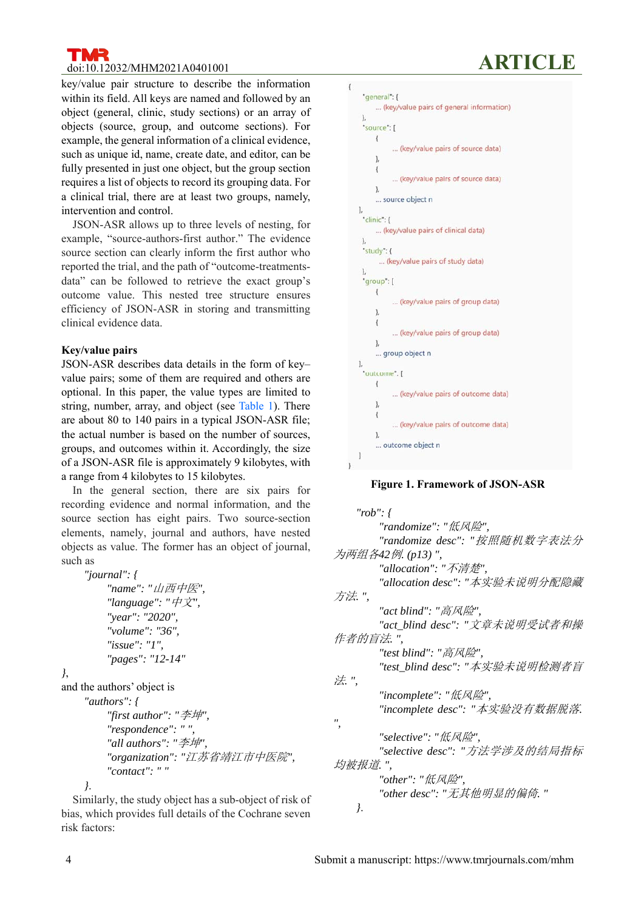# **doi:10.12032/MHM2021A0401001**

key/value pair structure to describe the information within its field. All keys are named and followed by an object (general, clinic, study sections) or an array of objects (source, group, and outcome sections). For example, the general information of a clinical evidence, such as unique id, name, create date, and editor, can be fully presented in just one object, but the group section requires a list of objects to record its grouping data. For a clinical trial, there are at least two groups, namely, intervention and control.

JSON-ASR allows up to three levels of nesting, for example, "source-authors-first author." The evidence source section can clearly inform the first author who reported the trial, and the path of "outcome-treatmentsdata" can be followed to retrieve the exact group's outcome value. This nested tree structure ensures efficiency of JSON-ASR in storing and transmitting clinical evidence data.

### **Key/value pairs**

JSON-ASR describes data details in the form of key– value pairs; some of them are required and others are optional. In this paper, the value types are limited to string, number, array, and object (see Table 1). There are about 80 to 140 pairs in a typical JSON-ASR file; the actual number is based on the number of sources, groups, and outcomes within it. Accordingly, the size of a JSON-ASR file is approximately 9 kilobytes, with a range from 4 kilobytes to 15 kilobytes.

In the general section, there are six pairs for recording evidence and normal information, and the source section has eight pairs. Two source-section elements, namely, journal and authors, have nested objects as value. The former has an object of journal, such as

```
 "journal": { 
           "name": "山西中医", 
           "language": "中文", 
           "year": "2020", 
            "volume": "36", 
           "issue": "1", 
            "pages": "12-14" 
}, 
and the authors' object is 
      "authors": { 
           "first author": "李坤", 
           "respondence": " ", 
           "all authors": "李坤", 
           "organization": "江苏省靖江市中医院", 
           "contact": " " 
      }.
```
Similarly, the study object has a sub-object of risk of bias, which provides full details of the Cochrane seven risk factors:



### **Figure 1. Framework of JSON-ASR**

```
 "rob": { 
         "randomize": "低风险", 
         "randomize desc": "按照随机数字表法分
为两组各42例. (p13) ", 
         "allocation": "不清楚", 
         "allocation desc": "本实验未说明分配隐藏
方法. ", 
         "act blind": "高风险", 
         "act_blind desc": "文章未说明受试者和操
作者的盲法. ", 
         "test blind": "高风险", 
         "test_blind desc": "本实验未说明检测者盲
法. ", 
         "incomplete": "低风险", 
         "incomplete desc": "本实验没有数据脱落. 
", 
         "selective": "低风险", 
         "selective desc": "方法学涉及的结局指标
均被报道. ", 
         "other": "低风险", 
         "other desc": "无其他明显的偏倚. " 
    }.
```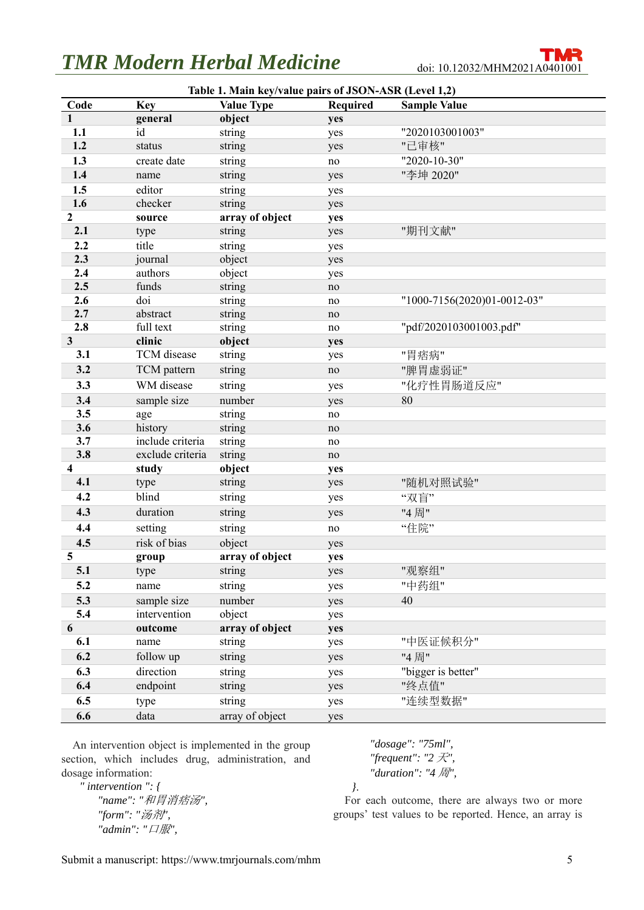# **TMR Modern Herbal Medicine** doi: 10.12032/MHM2021A0401001

| Table 1. Main key/value pairs of JSON-ASR (Level 1,2) |                  |                   |                 |                             |
|-------------------------------------------------------|------------------|-------------------|-----------------|-----------------------------|
| Code                                                  | <b>Key</b>       | <b>Value Type</b> | <b>Required</b> | <b>Sample Value</b>         |
| $\mathbf{1}$                                          | general          | object            | yes             |                             |
| 1.1                                                   | id               | string            | yes             | "2020103001003"             |
| 1.2                                                   | status           | string            | yes             | "己审核"                       |
| 1.3                                                   | create date      | string            | no              | "2020-10-30"                |
| 1.4                                                   | name             | string            | yes             | "李坤 2020"                   |
| 1.5                                                   | editor           | string            | yes             |                             |
| 1.6                                                   | checker          | string            | yes             |                             |
| 2                                                     | source           | array of object   | yes             |                             |
| 2.1                                                   | type             | string            | yes             | "期刊文献"                      |
| 2.2                                                   | title            | string            | yes             |                             |
| 2.3                                                   | journal          | object            | yes             |                             |
| 2.4                                                   | authors          | object            | yes             |                             |
| 2.5                                                   | funds            | string            | no              |                             |
| 2.6                                                   | doi              | string            | no              | "1000-7156(2020)01-0012-03" |
| 2.7                                                   | abstract         | string            | no              |                             |
| 2.8                                                   | full text        | string            | no              | "pdf/2020103001003.pdf"     |
| 3                                                     | clinic           | object            | yes             |                             |
| 3.1                                                   | TCM disease      | string            | yes             | "胃痞病"                       |
| 3.2                                                   | TCM pattern      | string            | no              | "脾胃虚弱证"                     |
| 3.3                                                   | WM disease       | string            | yes             | "化疗性胃肠道反应"                  |
| 3.4                                                   | sample size      | number            | yes             | 80                          |
| 3.5                                                   | age              | string            | no              |                             |
| 3.6                                                   | history          | string            | no              |                             |
| 3.7                                                   | include criteria | string            | no              |                             |
| 3.8                                                   | exclude criteria | string            | no              |                             |
| 4                                                     | study            | object            | yes             |                             |
| 4.1                                                   | type             | string            | yes             | "随机对照试验"                    |
| 4.2                                                   | blind            | string            | yes             | "双盲"                        |
| 4.3                                                   | duration         | string            | yes             | "4周"                        |
| 4.4                                                   | setting          | string            | no              | "住院"                        |
| 4.5                                                   | risk of bias     | object            | yes             |                             |
| 5                                                     | group            | array of object   | yes             |                             |
| 5.1                                                   | type             | string            | yes             | "观察组"                       |
| 5.2                                                   | name             | string            | yes             | "中药组"                       |
| 5.3                                                   | sample size      | number            | yes             | 40                          |
| 5.4                                                   | intervention     | object            | yes             |                             |
| 6                                                     | outcome          | array of object   | yes             |                             |
| 6.1                                                   | name             | string            | yes             | "中医证候积分"                    |
| 6.2                                                   | follow up        | string            | yes             | "4周"                        |
| 6.3                                                   | direction        | string            | yes             | "bigger is better"          |
| 6.4                                                   | endpoint         | string            | yes             | "终点值"                       |
| 6.5                                                   | type             | string            | yes             | "连续型数据"                     |
| 6.6                                                   | data             | array of object   | yes             |                             |

An intervention object is implemented in the group section, which includes drug, administration, and dosage information:

 *" intervention ": { "name": "*和胃消痞汤*", "form": "*汤剂*", "admin": "*口服*",* 

 *"dosage": "75ml", "frequent": "2* 天*", "duration": "4* 周*",* 

 *}*.

For each outcome, there are always two or more groups' test values to be reported. Hence, an array is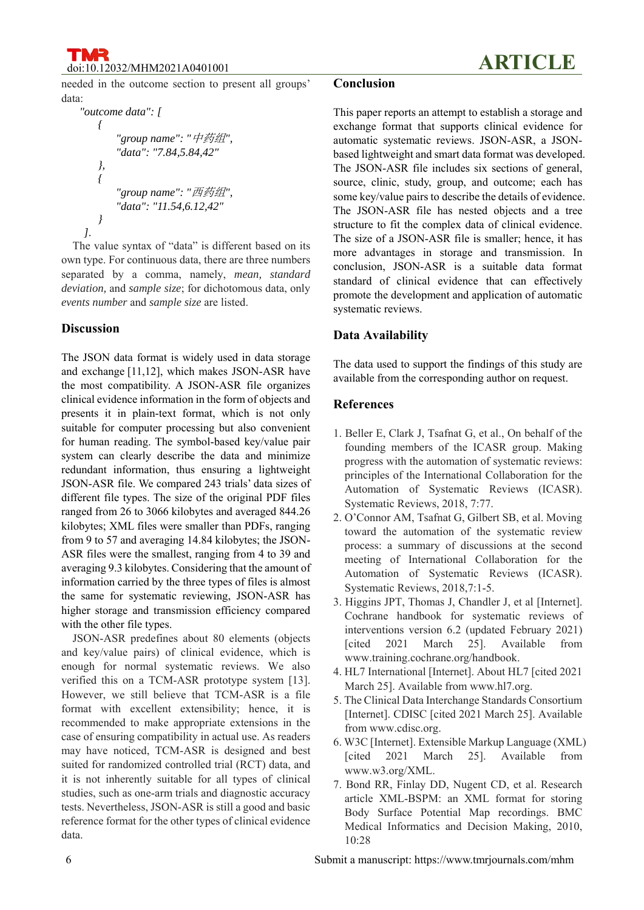doi:10.12032/MHM2021A0401001 **ARTICLE**

needed in the outcome section to present all groups' data:

```
 "outcome data": [ 
         { 
             "group name": "中药组", 
             "data": "7.84,5.84,42" 
         }, 
 { 
             "group name": "西药组", 
             "data": "11.54,6.12,42" 
         } 
    ].
```
The value syntax of "data" is different based on its own type. For continuous data, there are three numbers separated by a comma, namely, *mean, standard deviation,* and *sample size*; for dichotomous data, only *events number* and *sample size* are listed.

### **Discussion**

The JSON data format is widely used in data storage and exchange [11,12], which makes JSON-ASR have the most compatibility. A JSON-ASR file organizes clinical evidence information in the form of objects and presents it in plain-text format, which is not only suitable for computer processing but also convenient for human reading. The symbol-based key/value pair system can clearly describe the data and minimize redundant information, thus ensuring a lightweight JSON-ASR file. We compared 243 trials' data sizes of different file types. The size of the original PDF files ranged from 26 to 3066 kilobytes and averaged 844.26 kilobytes; XML files were smaller than PDFs, ranging from 9 to 57 and averaging 14.84 kilobytes; the JSON-ASR files were the smallest, ranging from 4 to 39 and averaging 9.3 kilobytes. Considering that the amount of information carried by the three types of files is almost the same for systematic reviewing, JSON-ASR has higher storage and transmission efficiency compared with the other file types.

JSON-ASR predefines about 80 elements (objects and key/value pairs) of clinical evidence, which is enough for normal systematic reviews. We also verified this on a TCM-ASR prototype system [13]. However, we still believe that TCM-ASR is a file format with excellent extensibility; hence, it is recommended to make appropriate extensions in the case of ensuring compatibility in actual use. As readers may have noticed, TCM-ASR is designed and best suited for randomized controlled trial (RCT) data, and it is not inherently suitable for all types of clinical studies, such as one-arm trials and diagnostic accuracy tests. Nevertheless, JSON-ASR is still a good and basic reference format for the other types of clinical evidence data.

### **Conclusion**

This paper reports an attempt to establish a storage and exchange format that supports clinical evidence for automatic systematic reviews. JSON-ASR, a JSONbased lightweight and smart data format was developed. The JSON-ASR file includes six sections of general, source, clinic, study, group, and outcome; each has some key/value pairs to describe the details of evidence. The JSON-ASR file has nested objects and a tree structure to fit the complex data of clinical evidence. The size of a JSON-ASR file is smaller; hence, it has more advantages in storage and transmission. In conclusion, JSON-ASR is a suitable data format standard of clinical evidence that can effectively promote the development and application of automatic systematic reviews.

### **Data Availability**

The data used to support the findings of this study are available from the corresponding author on request.

### **References**

- 1. Beller E, Clark J, Tsafnat G, et al., On behalf of the founding members of the ICASR group. Making progress with the automation of systematic reviews: principles of the International Collaboration for the Automation of Systematic Reviews (ICASR). Systematic Reviews, 2018, 7:77.
- 2. O'Connor AM, Tsafnat G, Gilbert SB, et al. Moving toward the automation of the systematic review process: a summary of discussions at the second meeting of International Collaboration for the Automation of Systematic Reviews (ICASR). Systematic Reviews, 2018,7:1-5.
- 3. Higgins JPT, Thomas J, Chandler J, et al [Internet]. Cochrane handbook for systematic reviews of interventions version 6.2 (updated February 2021) [cited 2021 March 25]. Available from www.training.cochrane.org/handbook.
- 4. HL7 International [Internet]. About HL7 [cited 2021 March 25]. Available from www.hl7.org.
- 5. The Clinical Data Interchange Standards Consortium [Internet]. CDISC [cited 2021 March 25]. Available from www.cdisc.org.
- 6. W3C [Internet]. Extensible Markup Language (XML) [cited 2021 March 25]. Available from www.w3.org/XML.
- 7. Bond RR, Finlay DD, Nugent CD, et al. Research article XML-BSPM: an XML format for storing Body Surface Potential Map recordings. BMC Medical Informatics and Decision Making, 2010, 10:28